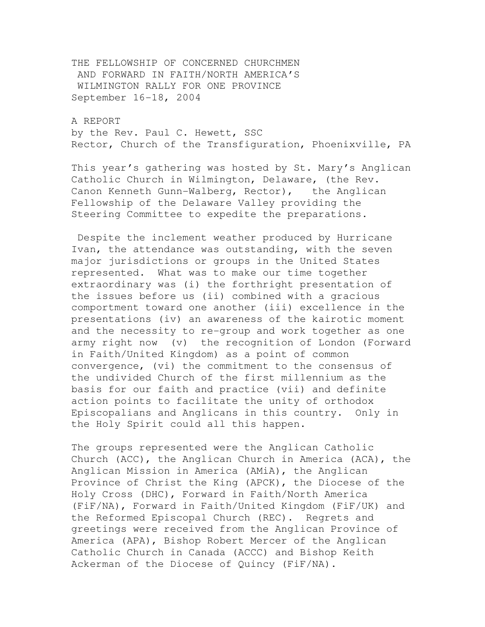THE FELLOWSHIP OF CONCERNED CHURCHMEN AND FORWARD IN FAITH/NORTH AMERICA'S WILMINGTON RALLY FOR ONE PROVINCE September 16-18, 2004

A REPORT by the Rev. Paul C. Hewett, SSC Rector, Church of the Transfiguration, Phoenixville, PA

This year's gathering was hosted by St. Mary's Anglican Catholic Church in Wilmington, Delaware, (the Rev. Canon Kenneth Gunn-Walberg, Rector), the Anglican Fellowship of the Delaware Valley providing the Steering Committee to expedite the preparations.

 Despite the inclement weather produced by Hurricane Ivan, the attendance was outstanding, with the seven major jurisdictions or groups in the United States represented. What was to make our time together extraordinary was (i) the forthright presentation of the issues before us (ii) combined with a gracious comportment toward one another (iii) excellence in the presentations (iv) an awareness of the kairotic moment and the necessity to re-group and work together as one army right now (v) the recognition of London (Forward in Faith/United Kingdom) as a point of common convergence, (vi) the commitment to the consensus of the undivided Church of the first millennium as the basis for our faith and practice (vii) and definite action points to facilitate the unity of orthodox Episcopalians and Anglicans in this country. Only in the Holy Spirit could all this happen.

The groups represented were the Anglican Catholic Church (ACC), the Anglican Church in America (ACA), the Anglican Mission in America (AMiA), the Anglican Province of Christ the King (APCK), the Diocese of the Holy Cross (DHC), Forward in Faith/North America (FiF/NA), Forward in Faith/United Kingdom (FiF/UK) and the Reformed Episcopal Church (REC). Regrets and greetings were received from the Anglican Province of America (APA), Bishop Robert Mercer of the Anglican Catholic Church in Canada (ACCC) and Bishop Keith Ackerman of the Diocese of Quincy (FiF/NA).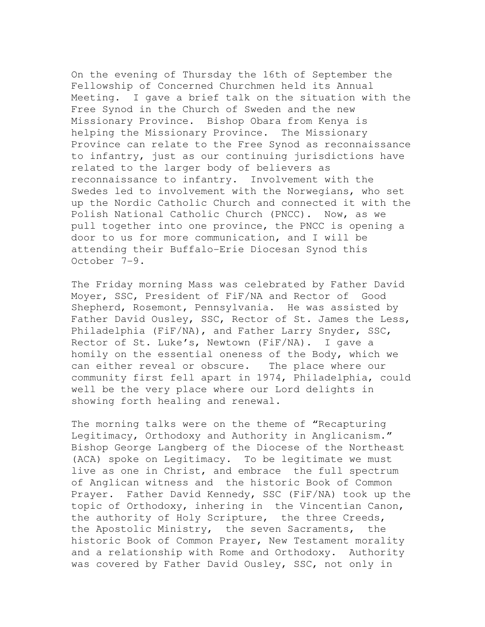On the evening of Thursday the 16th of September the Fellowship of Concerned Churchmen held its Annual Meeting. I gave a brief talk on the situation with the Free Synod in the Church of Sweden and the new Missionary Province. Bishop Obara from Kenya is helping the Missionary Province. The Missionary Province can relate to the Free Synod as reconnaissance to infantry, just as our continuing jurisdictions have related to the larger body of believers as reconnaissance to infantry. Involvement with the Swedes led to involvement with the Norwegians, who set up the Nordic Catholic Church and connected it with the Polish National Catholic Church (PNCC). Now, as we pull together into one province, the PNCC is opening a door to us for more communication, and I will be attending their Buffalo-Erie Diocesan Synod this October 7-9.

The Friday morning Mass was celebrated by Father David Moyer, SSC, President of FiF/NA and Rector of Good Shepherd, Rosemont, Pennsylvania. He was assisted by Father David Ousley, SSC, Rector of St. James the Less, Philadelphia (FiF/NA), and Father Larry Snyder, SSC, Rector of St. Luke's, Newtown (FiF/NA). I gave a homily on the essential oneness of the Body, which we can either reveal or obscure. The place where our community first fell apart in 1974, Philadelphia, could well be the very place where our Lord delights in showing forth healing and renewal.

The morning talks were on the theme of "Recapturing Legitimacy, Orthodoxy and Authority in Anglicanism." Bishop George Langberg of the Diocese of the Northeast (ACA) spoke on Legitimacy. To be legitimate we must live as one in Christ, and embrace the full spectrum of Anglican witness and the historic Book of Common Prayer. Father David Kennedy, SSC (FiF/NA) took up the topic of Orthodoxy, inhering in the Vincentian Canon, the authority of Holy Scripture, the three Creeds, the Apostolic Ministry, the seven Sacraments, the historic Book of Common Prayer, New Testament morality and a relationship with Rome and Orthodoxy. Authority was covered by Father David Ousley, SSC, not only in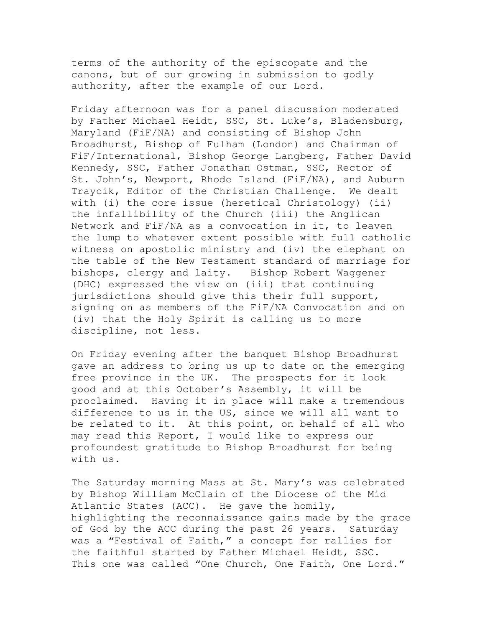terms of the authority of the episcopate and the canons, but of our growing in submission to godly authority, after the example of our Lord.

Friday afternoon was for a panel discussion moderated by Father Michael Heidt, SSC, St. Luke's, Bladensburg, Maryland (FiF/NA) and consisting of Bishop John Broadhurst, Bishop of Fulham (London) and Chairman of FiF/International, Bishop George Langberg, Father David Kennedy, SSC, Father Jonathan Ostman, SSC, Rector of St. John's, Newport, Rhode Island (FiF/NA), and Auburn Traycik, Editor of the Christian Challenge. We dealt with (i) the core issue (heretical Christology) (ii) the infallibility of the Church (iii) the Anglican Network and FiF/NA as a convocation in it, to leaven the lump to whatever extent possible with full catholic witness on apostolic ministry and (iv) the elephant on the table of the New Testament standard of marriage for bishops, clergy and laity. Bishop Robert Waggener (DHC) expressed the view on (iii) that continuing jurisdictions should give this their full support, signing on as members of the FiF/NA Convocation and on (iv) that the Holy Spirit is calling us to more discipline, not less.

On Friday evening after the banquet Bishop Broadhurst gave an address to bring us up to date on the emerging free province in the UK. The prospects for it look good and at this October's Assembly, it will be proclaimed. Having it in place will make a tremendous difference to us in the US, since we will all want to be related to it. At this point, on behalf of all who may read this Report, I would like to express our profoundest gratitude to Bishop Broadhurst for being with us.

The Saturday morning Mass at St. Mary's was celebrated by Bishop William McClain of the Diocese of the Mid Atlantic States (ACC). He gave the homily, highlighting the reconnaissance gains made by the grace of God by the ACC during the past 26 years. Saturday was a "Festival of Faith," a concept for rallies for the faithful started by Father Michael Heidt, SSC. This one was called "One Church, One Faith, One Lord."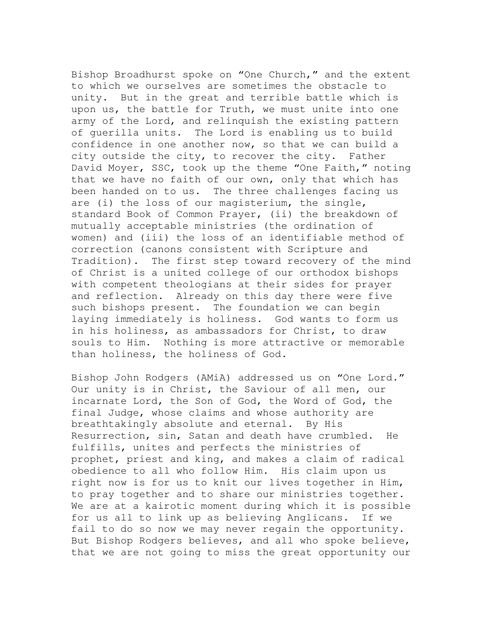Bishop Broadhurst spoke on "One Church," and the extent to which we ourselves are sometimes the obstacle to unity. But in the great and terrible battle which is upon us, the battle for Truth, we must unite into one army of the Lord, and relinquish the existing pattern of guerilla units. The Lord is enabling us to build confidence in one another now, so that we can build a city outside the city, to recover the city. Father David Moyer, SSC, took up the theme "One Faith," noting that we have no faith of our own, only that which has been handed on to us. The three challenges facing us are (i) the loss of our magisterium, the single, standard Book of Common Prayer, (ii) the breakdown of mutually acceptable ministries (the ordination of women) and (iii) the loss of an identifiable method of correction (canons consistent with Scripture and Tradition). The first step toward recovery of the mind of Christ is a united college of our orthodox bishops with competent theologians at their sides for prayer and reflection. Already on this day there were five such bishops present. The foundation we can begin laying immediately is holiness. God wants to form us in his holiness, as ambassadors for Christ, to draw souls to Him. Nothing is more attractive or memorable than holiness, the holiness of God.

Bishop John Rodgers (AMiA) addressed us on "One Lord." Our unity is in Christ, the Saviour of all men, our incarnate Lord, the Son of God, the Word of God, the final Judge, whose claims and whose authority are breathtakingly absolute and eternal. By His Resurrection, sin, Satan and death have crumbled. He fulfills, unites and perfects the ministries of prophet, priest and king, and makes a claim of radical obedience to all who follow Him. His claim upon us right now is for us to knit our lives together in Him, to pray together and to share our ministries together. We are at a kairotic moment during which it is possible for us all to link up as believing Anglicans. If we fail to do so now we may never regain the opportunity. But Bishop Rodgers believes, and all who spoke believe, that we are not going to miss the great opportunity our